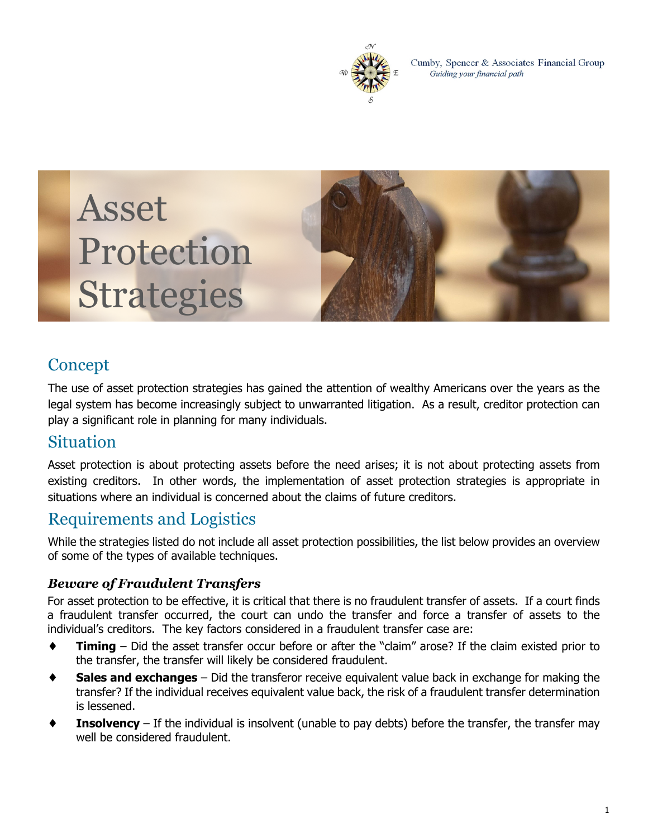

Cumby, Spencer & Associates Financial Group Guiding your financial path





# Concept

The use of asset protection strategies has gained the attention of wealthy Americans over the years as the legal system has become increasingly subject to unwarranted litigation. As a result, creditor protection can play a significant role in planning for many individuals.

### Situation

Asset protection is about protecting assets before the need arises; it is not about protecting assets from existing creditors. In other words, the implementation of asset protection strategies is appropriate in situations where an individual is concerned about the claims of future creditors.

## Requirements and Logistics

While the strategies listed do not include all asset protection possibilities, the list below provides an overview of some of the types of available techniques.

#### *Beware of Fraudulent Transfers*

For asset protection to be effective, it is critical that there is no fraudulent transfer of assets. If a court finds a fraudulent transfer occurred, the court can undo the transfer and force a transfer of assets to the individual's creditors. The key factors considered in a fraudulent transfer case are:

- **Timing** Did the asset transfer occur before or after the "claim" arose? If the claim existed prior to the transfer, the transfer will likely be considered fraudulent.
- **Sales and exchanges** Did the transferor receive equivalent value back in exchange for making the transfer? If the individual receives equivalent value back, the risk of a fraudulent transfer determination is lessened.
- **Insolvency** If the individual is insolvent (unable to pay debts) before the transfer, the transfer may well be considered fraudulent.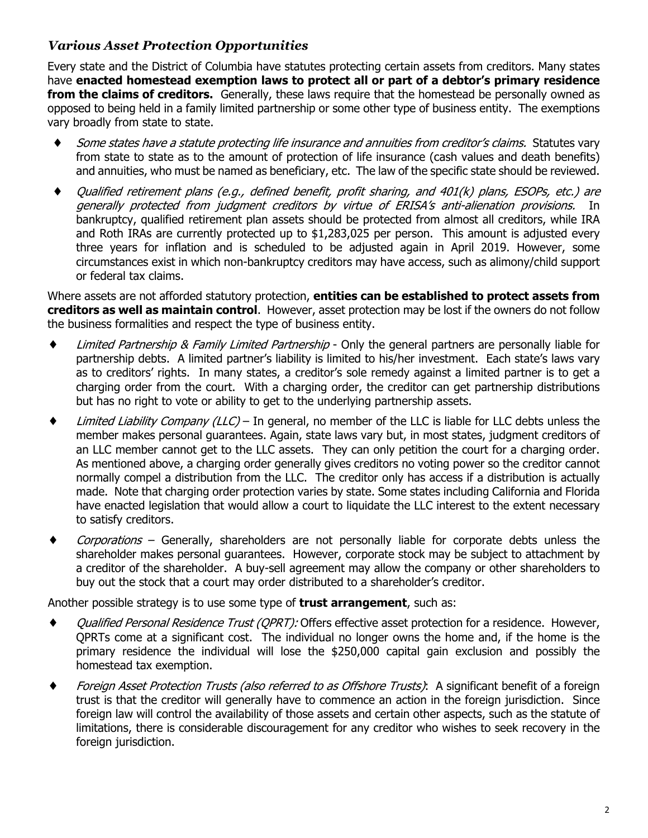#### *Various Asset Protection Opportunities*

Every state and the District of Columbia have statutes protecting certain assets from creditors. Many states have **enacted homestead exemption laws to protect all or part of a debtor's primary residence from the claims of creditors.** Generally, these laws require that the homestead be personally owned as opposed to being held in a family limited partnership or some other type of business entity. The exemptions vary broadly from state to state.

- ♦ *Some states have <sup>a</sup> statute protecting life insurance and annuities from creditor's claims.* Statutes vary from state to state as to the amount of protection of life insurance (cash values and death benefits) and annuities, who must be named as beneficiary, etc. The law of the specific state should be reviewed.
- ♦ *Qualified retirement plans (e.g., defined benefit, profit sharing, and 401(k) plans, ESOPs, etc.) are generally protected from judgment creditors by virtue of ERISA's anti-alienation provisions.* In bankruptcy, qualified retirement plan assets should be protected from almost all creditors, while IRA and Roth IRAs are currently protected up to \$1,283,025 per person. This amount is adjusted every three years for inflation and is scheduled to be adjusted again in April 2019. However, some circumstances exist in which non-bankruptcy creditors may have access, such as alimony/child support or federal tax claims.

Where assets are not afforded statutory protection, **entities can be established to protect assets from creditors as well as maintain control**. However, asset protection may be lost if the owners do not follow the business formalities and respect the type of business entity.

- ♦ *Limited Partnership & Family Limited Partnership* Only the general partners are personally liable for partnership debts. A limited partner's liability is limited to his/her investment. Each state's laws vary as to creditors' rights. In many states, a creditor's sole remedy against a limited partner is to get a charging order from the court. With a charging order, the creditor can get partnership distributions but has no right to vote or ability to get to the underlying partnership assets.
- ♦ *Limited Liability Company (LLC)* In general, no member of the LLC is liable for LLC debts unless the member makes personal guarantees. Again, state laws vary but, in most states, judgment creditors of an LLC member cannot get to the LLC assets. They can only petition the court for a charging order. As mentioned above, a charging order generally gives creditors no voting power so the creditor cannot normally compel a distribution from the LLC. The creditor only has access if a distribution is actually made. Note that charging order protection varies by state. Some states including California and Florida have enacted legislation that would allow a court to liquidate the LLC interest to the extent necessary to satisfy creditors.
- ♦ *Corporations* Generally, shareholders are not personally liable for corporate debts unless the shareholder makes personal guarantees. However, corporate stock may be subject to attachment by a creditor of the shareholder. A buy-sell agreement may allow the company or other shareholders to buy out the stock that a court may order distributed to a shareholder's creditor.

Another possible strategy is to use some type of **trust arrangement**, such as:

- ♦ *Qualified Personal Residence Trust (QPRT):* Offers effective asset protection for a residence. However, QPRTs come at a significant cost. The individual no longer owns the home and, if the home is the primary residence the individual will lose the \$250,000 capital gain exclusion and possibly the homestead tax exemption.
- ♦ *Foreign Asset Protection Trusts (also referred to as Offshore Trusts)*: A significant benefit of a foreign trust is that the creditor will generally have to commence an action in the foreign jurisdiction. Since foreign law will control the availability of those assets and certain other aspects, such as the statute of limitations, there is considerable discouragement for any creditor who wishes to seek recovery in the foreign jurisdiction.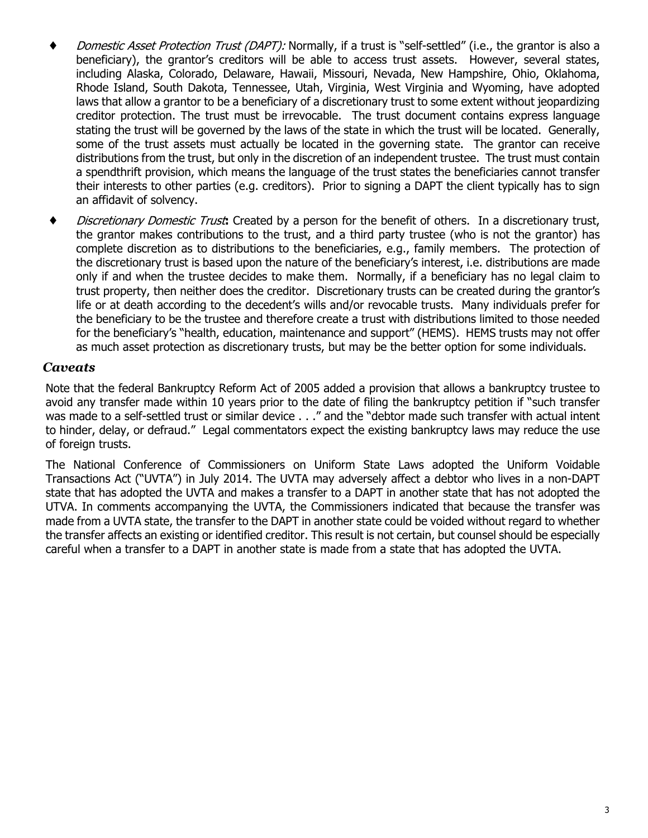- ♦ *Domestic Asset Protection Trust (DAPT):* Normally, if a trust is "self-settled" (i.e., the grantor is also a beneficiary), the grantor's creditors will be able to access trust assets. However, several states, including Alaska, Colorado, Delaware, Hawaii, Missouri, Nevada, New Hampshire, Ohio, Oklahoma, Rhode Island, South Dakota, Tennessee, Utah, Virginia, West Virginia and Wyoming, have adopted laws that allow a grantor to be a beneficiary of a discretionary trust to some extent without jeopardizing creditor protection. The trust must be irrevocable. The trust document contains express language stating the trust will be governed by the laws of the state in which the trust will be located. Generally, some of the trust assets must actually be located in the governing state. The grantor can receive distributions from the trust, but only in the discretion of an independent trustee. The trust must contain a spendthrift provision, which means the language of the trust states the beneficiaries cannot transfer their interests to other parties (e.g. creditors). Prior to signing a DAPT the client typically has to sign an affidavit of solvency.
- ♦ *Discretionary Domestic Trust***:** Created by a person for the benefit of others. In a discretionary trust, the grantor makes contributions to the trust, and a third party trustee (who is not the grantor) has complete discretion as to distributions to the beneficiaries, e.g., family members. The protection of the discretionary trust is based upon the nature of the beneficiary's interest, i.e. distributions are made only if and when the trustee decides to make them. Normally, if a beneficiary has no legal claim to trust property, then neither does the creditor. Discretionary trusts can be created during the grantor's life or at death according to the decedent's wills and/or revocable trusts. Many individuals prefer for the beneficiary to be the trustee and therefore create a trust with distributions limited to those needed for the beneficiary's "health, education, maintenance and support" (HEMS). HEMS trusts may not offer as much asset protection as discretionary trusts, but may be the better option for some individuals.

#### *Caveats*

Note that the federal Bankruptcy Reform Act of 2005 added a provision that allows a bankruptcy trustee to avoid any transfer made within 10 years prior to the date of filing the bankruptcy petition if "such transfer was made to a self-settled trust or similar device . . ." and the "debtor made such transfer with actual intent to hinder, delay, or defraud." Legal commentators expect the existing bankruptcy laws may reduce the use of foreign trusts.

The National Conference of Commissioners on Uniform State Laws adopted the Uniform Voidable Transactions Act ("UVTA") in July 2014. The UVTA may adversely affect a debtor who lives in a non-DAPT state that has adopted the UVTA and makes a transfer to a DAPT in another state that has not adopted the UTVA. In comments accompanying the UVTA, the Commissioners indicated that because the transfer was made from a UVTA state, the transfer to the DAPT in another state could be voided without regard to whether the transfer affects an existing or identified creditor. This result is not certain, but counsel should be especially careful when a transfer to a DAPT in another state is made from a state that has adopted the UVTA.